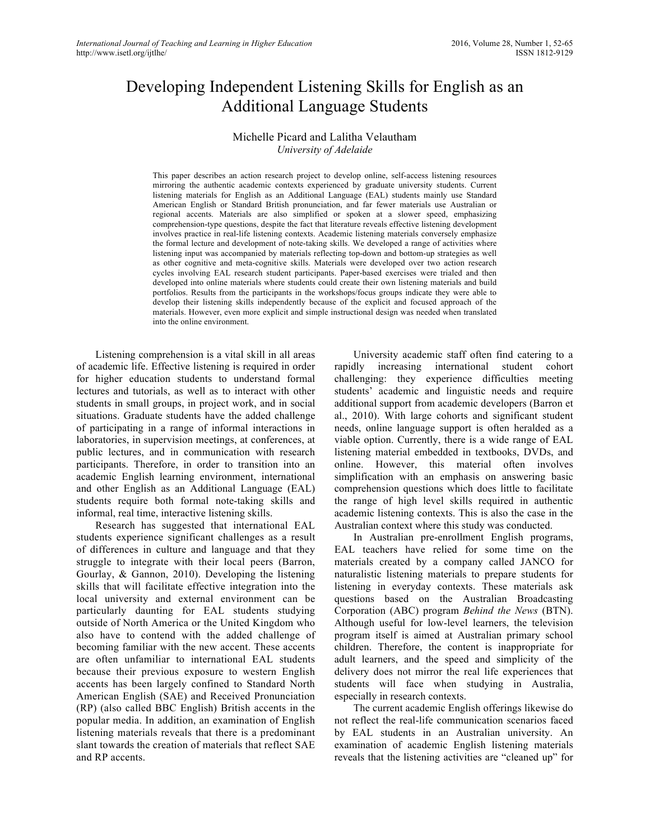# Developing Independent Listening Skills for English as an Additional Language Students

#### Michelle Picard and Lalitha Velautham *University of Adelaide*

This paper describes an action research project to develop online, self-access listening resources mirroring the authentic academic contexts experienced by graduate university students. Current listening materials for English as an Additional Language (EAL) students mainly use Standard American English or Standard British pronunciation, and far fewer materials use Australian or regional accents. Materials are also simplified or spoken at a slower speed, emphasizing comprehension-type questions, despite the fact that literature reveals effective listening development involves practice in real-life listening contexts. Academic listening materials conversely emphasize the formal lecture and development of note-taking skills. We developed a range of activities where listening input was accompanied by materials reflecting top-down and bottom-up strategies as well as other cognitive and meta-cognitive skills. Materials were developed over two action research cycles involving EAL research student participants. Paper-based exercises were trialed and then developed into online materials where students could create their own listening materials and build portfolios. Results from the participants in the workshops/focus groups indicate they were able to develop their listening skills independently because of the explicit and focused approach of the materials. However, even more explicit and simple instructional design was needed when translated into the online environment.

Listening comprehension is a vital skill in all areas of academic life. Effective listening is required in order for higher education students to understand formal lectures and tutorials, as well as to interact with other students in small groups, in project work, and in social situations. Graduate students have the added challenge of participating in a range of informal interactions in laboratories, in supervision meetings, at conferences, at public lectures, and in communication with research participants. Therefore, in order to transition into an academic English learning environment, international and other English as an Additional Language (EAL) students require both formal note-taking skills and informal, real time, interactive listening skills.

Research has suggested that international EAL students experience significant challenges as a result of differences in culture and language and that they struggle to integrate with their local peers (Barron, Gourlay, & Gannon, 2010). Developing the listening skills that will facilitate effective integration into the local university and external environment can be particularly daunting for EAL students studying outside of North America or the United Kingdom who also have to contend with the added challenge of becoming familiar with the new accent. These accents are often unfamiliar to international EAL students because their previous exposure to western English accents has been largely confined to Standard North American English (SAE) and Received Pronunciation (RP) (also called BBC English) British accents in the popular media. In addition, an examination of English listening materials reveals that there is a predominant slant towards the creation of materials that reflect SAE and RP accents.

University academic staff often find catering to a rapidly increasing international student cohort challenging: they experience difficulties meeting students' academic and linguistic needs and require additional support from academic developers (Barron et al., 2010). With large cohorts and significant student needs, online language support is often heralded as a viable option. Currently, there is a wide range of EAL listening material embedded in textbooks, DVDs, and online. However, this material often involves simplification with an emphasis on answering basic comprehension questions which does little to facilitate the range of high level skills required in authentic academic listening contexts. This is also the case in the Australian context where this study was conducted.

In Australian pre-enrollment English programs, EAL teachers have relied for some time on the materials created by a company called JANCO for naturalistic listening materials to prepare students for listening in everyday contexts. These materials ask questions based on the Australian Broadcasting Corporation (ABC) program *Behind the News* (BTN). Although useful for low-level learners, the television program itself is aimed at Australian primary school children. Therefore, the content is inappropriate for adult learners, and the speed and simplicity of the delivery does not mirror the real life experiences that students will face when studying in Australia, especially in research contexts.

The current academic English offerings likewise do not reflect the real-life communication scenarios faced by EAL students in an Australian university. An examination of academic English listening materials reveals that the listening activities are "cleaned up" for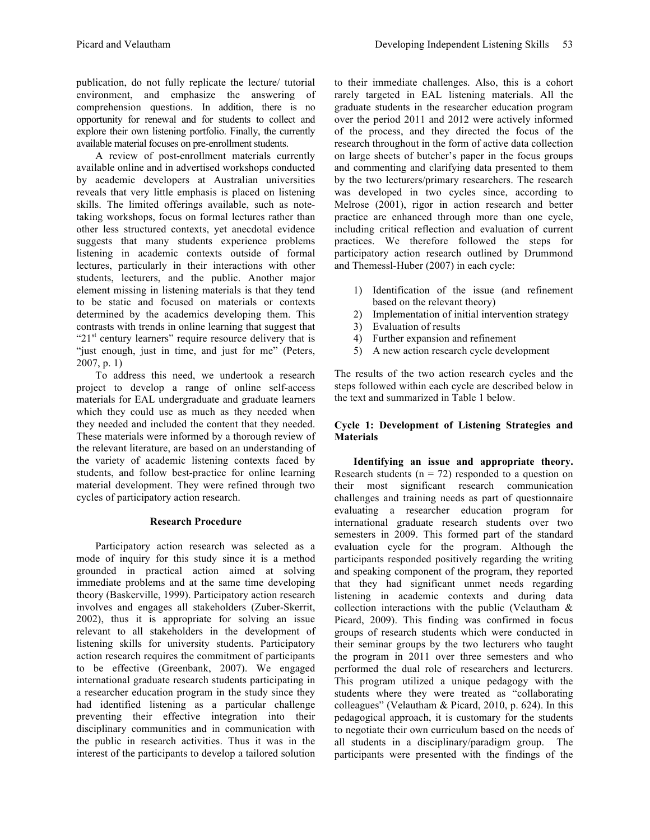publication, do not fully replicate the lecture/ tutorial environment, and emphasize the answering of comprehension questions. In addition, there is no opportunity for renewal and for students to collect and explore their own listening portfolio. Finally, the currently available material focuses on pre-enrollment students.

A review of post-enrollment materials currently available online and in advertised workshops conducted by academic developers at Australian universities reveals that very little emphasis is placed on listening skills. The limited offerings available, such as notetaking workshops, focus on formal lectures rather than other less structured contexts, yet anecdotal evidence suggests that many students experience problems listening in academic contexts outside of formal lectures, particularly in their interactions with other students, lecturers, and the public. Another major element missing in listening materials is that they tend to be static and focused on materials or contexts determined by the academics developing them. This contrasts with trends in online learning that suggest that " $21<sup>st</sup>$  century learners" require resource delivery that is "just enough, just in time, and just for me" (Peters, 2007, p. 1)

To address this need, we undertook a research project to develop a range of online self-access materials for EAL undergraduate and graduate learners which they could use as much as they needed when they needed and included the content that they needed. These materials were informed by a thorough review of the relevant literature, are based on an understanding of the variety of academic listening contexts faced by students, and follow best-practice for online learning material development. They were refined through two cycles of participatory action research.

## **Research Procedure**

Participatory action research was selected as a mode of inquiry for this study since it is a method grounded in practical action aimed at solving immediate problems and at the same time developing theory (Baskerville, 1999). Participatory action research involves and engages all stakeholders (Zuber-Skerrit, 2002), thus it is appropriate for solving an issue relevant to all stakeholders in the development of listening skills for university students. Participatory action research requires the commitment of participants to be effective (Greenbank, 2007). We engaged international graduate research students participating in a researcher education program in the study since they had identified listening as a particular challenge preventing their effective integration into their disciplinary communities and in communication with the public in research activities. Thus it was in the interest of the participants to develop a tailored solution to their immediate challenges. Also, this is a cohort rarely targeted in EAL listening materials. All the graduate students in the researcher education program over the period 2011 and 2012 were actively informed of the process, and they directed the focus of the research throughout in the form of active data collection on large sheets of butcher's paper in the focus groups and commenting and clarifying data presented to them by the two lecturers/primary researchers. The research was developed in two cycles since, according to Melrose (2001), rigor in action research and better practice are enhanced through more than one cycle, including critical reflection and evaluation of current practices. We therefore followed the steps for participatory action research outlined by Drummond and Themessl-Huber (2007) in each cycle:

- 1) Identification of the issue (and refinement based on the relevant theory)
- 2) Implementation of initial intervention strategy
- 3) Evaluation of results
- 4) Further expansion and refinement
- 5) A new action research cycle development

The results of the two action research cycles and the steps followed within each cycle are described below in the text and summarized in Table 1 below.

## **Cycle 1: Development of Listening Strategies and Materials**

**Identifying an issue and appropriate theory.**  Research students ( $n = 72$ ) responded to a question on their most significant research communication challenges and training needs as part of questionnaire evaluating a researcher education program for international graduate research students over two semesters in 2009. This formed part of the standard evaluation cycle for the program. Although the participants responded positively regarding the writing and speaking component of the program, they reported that they had significant unmet needs regarding listening in academic contexts and during data collection interactions with the public (Velautham & Picard, 2009). This finding was confirmed in focus groups of research students which were conducted in their seminar groups by the two lecturers who taught the program in 2011 over three semesters and who performed the dual role of researchers and lecturers. This program utilized a unique pedagogy with the students where they were treated as "collaborating colleagues" (Velautham & Picard, 2010, p. 624). In this pedagogical approach, it is customary for the students to negotiate their own curriculum based on the needs of all students in a disciplinary/paradigm group. The participants were presented with the findings of the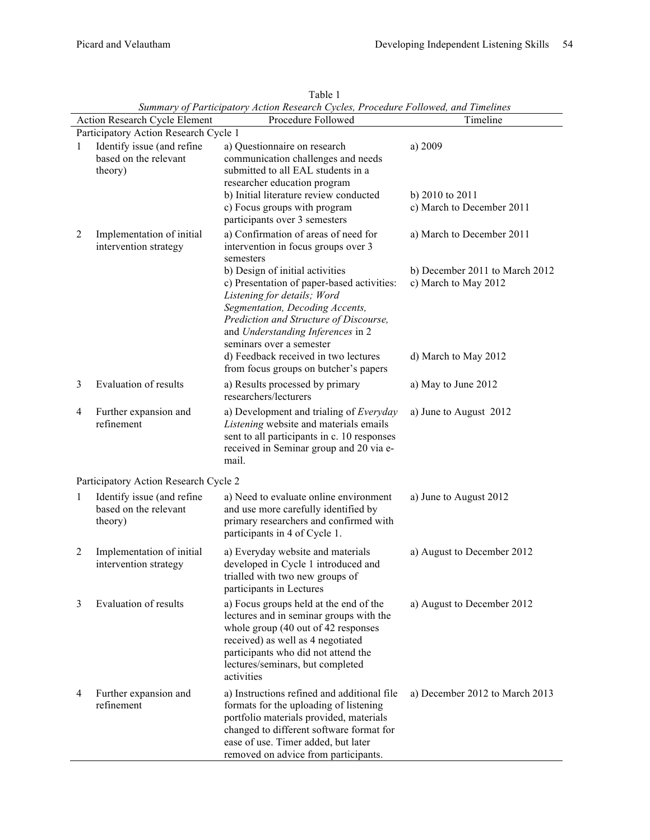| Summary of Farucipatory Action Research Cycles, Frocedure Followed, and Timelines<br>Procedure Followed<br>Timeline<br><b>Action Research Cycle Element</b> |                                                                |                                                                                                                                                                                                                                                             |                                                             |  |
|-------------------------------------------------------------------------------------------------------------------------------------------------------------|----------------------------------------------------------------|-------------------------------------------------------------------------------------------------------------------------------------------------------------------------------------------------------------------------------------------------------------|-------------------------------------------------------------|--|
| Participatory Action Research Cycle 1                                                                                                                       |                                                                |                                                                                                                                                                                                                                                             |                                                             |  |
| 1                                                                                                                                                           | Identify issue (and refine<br>based on the relevant<br>theory) | a) Questionnaire on research<br>communication challenges and needs<br>submitted to all EAL students in a<br>researcher education program                                                                                                                    | a) 2009                                                     |  |
|                                                                                                                                                             |                                                                | b) Initial literature review conducted<br>c) Focus groups with program<br>participants over 3 semesters                                                                                                                                                     | b) 2010 to 2011<br>c) March to December 2011                |  |
| $\overline{2}$                                                                                                                                              | Implementation of initial<br>intervention strategy             | a) Confirmation of areas of need for<br>intervention in focus groups over 3<br>semesters<br>b) Design of initial activities                                                                                                                                 | a) March to December 2011<br>b) December 2011 to March 2012 |  |
|                                                                                                                                                             |                                                                | c) Presentation of paper-based activities:<br>Listening for details; Word<br>Segmentation, Decoding Accents,<br>Prediction and Structure of Discourse,<br>and Understanding Inferences in 2<br>seminars over a semester                                     | c) March to May 2012                                        |  |
|                                                                                                                                                             |                                                                | d) Feedback received in two lectures<br>from focus groups on butcher's papers                                                                                                                                                                               | d) March to May 2012                                        |  |
| 3                                                                                                                                                           | Evaluation of results                                          | a) Results processed by primary<br>researchers/lecturers                                                                                                                                                                                                    | a) May to June 2012                                         |  |
| 4                                                                                                                                                           | Further expansion and<br>refinement                            | a) Development and trialing of Everyday<br>Listening website and materials emails<br>sent to all participants in c. 10 responses<br>received in Seminar group and 20 via e-<br>mail.                                                                        | a) June to August 2012                                      |  |
|                                                                                                                                                             | Participatory Action Research Cycle 2                          |                                                                                                                                                                                                                                                             |                                                             |  |
| 1                                                                                                                                                           | Identify issue (and refine<br>based on the relevant<br>theory) | a) Need to evaluate online environment<br>and use more carefully identified by<br>primary researchers and confirmed with<br>participants in 4 of Cycle 1.                                                                                                   | a) June to August 2012                                      |  |
| $\overline{2}$                                                                                                                                              | Implementation of initial<br>intervention strategy             | a) Everyday website and materials<br>developed in Cycle 1 introduced and<br>trialled with two new groups of<br>participants in Lectures                                                                                                                     | a) August to December 2012                                  |  |
| 3                                                                                                                                                           | <b>Evaluation of results</b>                                   | a) Focus groups held at the end of the<br>lectures and in seminar groups with the<br>whole group (40 out of 42 responses<br>received) as well as 4 negotiated<br>participants who did not attend the<br>lectures/seminars, but completed<br>activities      | a) August to December 2012                                  |  |
| 4                                                                                                                                                           | Further expansion and<br>refinement                            | a) Instructions refined and additional file<br>formats for the uploading of listening<br>portfolio materials provided, materials<br>changed to different software format for<br>ease of use. Timer added, but later<br>removed on advice from participants. | a) December 2012 to March 2013                              |  |

Table 1 *Summary of Participatory Action Research Cycles, Procedure Followed, and Timelines*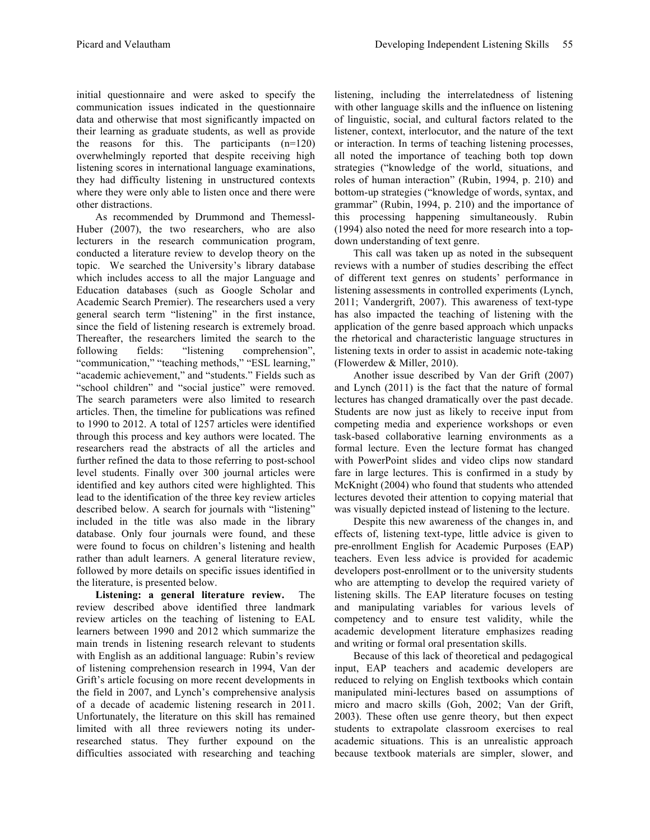initial questionnaire and were asked to specify the communication issues indicated in the questionnaire data and otherwise that most significantly impacted on their learning as graduate students, as well as provide the reasons for this. The participants (n=120) overwhelmingly reported that despite receiving high listening scores in international language examinations, they had difficulty listening in unstructured contexts where they were only able to listen once and there were other distractions.

As recommended by Drummond and Themessl-Huber (2007), the two researchers, who are also lecturers in the research communication program, conducted a literature review to develop theory on the topic. We searched the University's library database which includes access to all the major Language and Education databases (such as Google Scholar and Academic Search Premier). The researchers used a very general search term "listening" in the first instance, since the field of listening research is extremely broad. Thereafter, the researchers limited the search to the following fields: "listening comprehension", "communication," "teaching methods," "ESL learning," "academic achievement," and "students." Fields such as "school children" and "social justice" were removed. The search parameters were also limited to research articles. Then, the timeline for publications was refined to 1990 to 2012. A total of 1257 articles were identified through this process and key authors were located. The researchers read the abstracts of all the articles and further refined the data to those referring to post-school level students. Finally over 300 journal articles were identified and key authors cited were highlighted. This lead to the identification of the three key review articles described below. A search for journals with "listening" included in the title was also made in the library database. Only four journals were found, and these were found to focus on children's listening and health rather than adult learners. A general literature review, followed by more details on specific issues identified in the literature, is presented below.

**Listening: a general literature review.** The review described above identified three landmark review articles on the teaching of listening to EAL learners between 1990 and 2012 which summarize the main trends in listening research relevant to students with English as an additional language: Rubin's review of listening comprehension research in 1994, Van der Grift's article focusing on more recent developments in the field in 2007, and Lynch's comprehensive analysis of a decade of academic listening research in 2011. Unfortunately, the literature on this skill has remained limited with all three reviewers noting its underresearched status. They further expound on the difficulties associated with researching and teaching

listening, including the interrelatedness of listening with other language skills and the influence on listening of linguistic, social, and cultural factors related to the listener, context, interlocutor, and the nature of the text or interaction. In terms of teaching listening processes, all noted the importance of teaching both top down strategies ("knowledge of the world, situations, and roles of human interaction" (Rubin, 1994, p. 210) and bottom-up strategies ("knowledge of words, syntax, and grammar" (Rubin, 1994, p. 210) and the importance of this processing happening simultaneously. Rubin (1994) also noted the need for more research into a topdown understanding of text genre.

This call was taken up as noted in the subsequent reviews with a number of studies describing the effect of different text genres on students' performance in listening assessments in controlled experiments (Lynch, 2011; Vandergrift, 2007). This awareness of text-type has also impacted the teaching of listening with the application of the genre based approach which unpacks the rhetorical and characteristic language structures in listening texts in order to assist in academic note-taking (Flowerdew & Miller, 2010).

Another issue described by Van der Grift (2007) and Lynch (2011) is the fact that the nature of formal lectures has changed dramatically over the past decade. Students are now just as likely to receive input from competing media and experience workshops or even task-based collaborative learning environments as a formal lecture. Even the lecture format has changed with PowerPoint slides and video clips now standard fare in large lectures. This is confirmed in a study by McKnight (2004) who found that students who attended lectures devoted their attention to copying material that was visually depicted instead of listening to the lecture.

Despite this new awareness of the changes in, and effects of, listening text-type, little advice is given to pre-enrollment English for Academic Purposes (EAP) teachers. Even less advice is provided for academic developers post-enrollment or to the university students who are attempting to develop the required variety of listening skills. The EAP literature focuses on testing and manipulating variables for various levels of competency and to ensure test validity, while the academic development literature emphasizes reading and writing or formal oral presentation skills.

Because of this lack of theoretical and pedagogical input, EAP teachers and academic developers are reduced to relying on English textbooks which contain manipulated mini-lectures based on assumptions of micro and macro skills (Goh, 2002; Van der Grift, 2003). These often use genre theory, but then expect students to extrapolate classroom exercises to real academic situations. This is an unrealistic approach because textbook materials are simpler, slower, and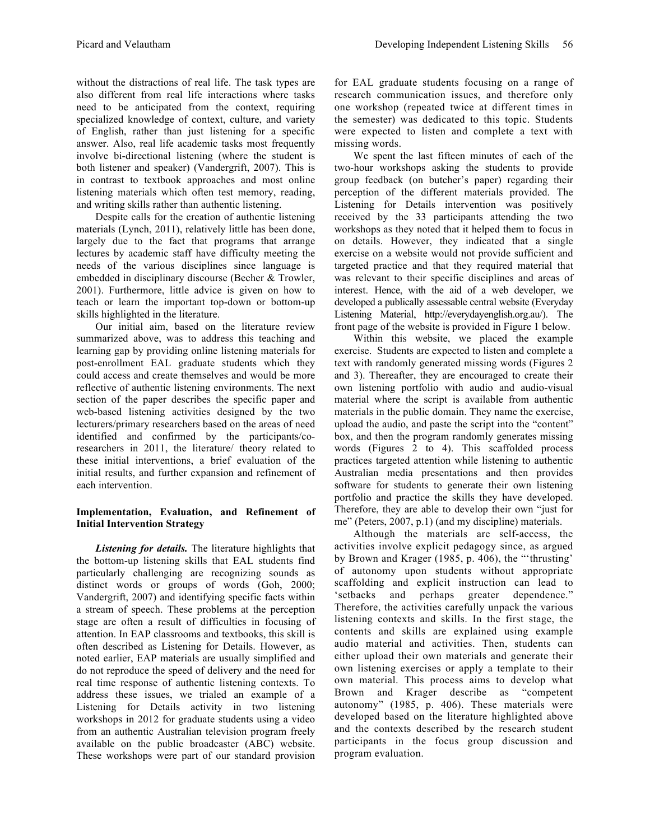without the distractions of real life. The task types are also different from real life interactions where tasks need to be anticipated from the context, requiring specialized knowledge of context, culture, and variety of English, rather than just listening for a specific answer. Also, real life academic tasks most frequently involve bi-directional listening (where the student is both listener and speaker) (Vandergrift, 2007). This is in contrast to textbook approaches and most online listening materials which often test memory, reading, and writing skills rather than authentic listening.

Despite calls for the creation of authentic listening materials (Lynch, 2011), relatively little has been done, largely due to the fact that programs that arrange lectures by academic staff have difficulty meeting the needs of the various disciplines since language is embedded in disciplinary discourse (Becher & Trowler, 2001). Furthermore, little advice is given on how to teach or learn the important top-down or bottom-up skills highlighted in the literature.

Our initial aim, based on the literature review summarized above, was to address this teaching and learning gap by providing online listening materials for post-enrollment EAL graduate students which they could access and create themselves and would be more reflective of authentic listening environments. The next section of the paper describes the specific paper and web-based listening activities designed by the two lecturers/primary researchers based on the areas of need identified and confirmed by the participants/coresearchers in 2011, the literature/ theory related to these initial interventions, a brief evaluation of the initial results, and further expansion and refinement of each intervention.

## **Implementation, Evaluation, and Refinement of Initial Intervention Strategy**

*Listening for details.* The literature highlights that the bottom-up listening skills that EAL students find particularly challenging are recognizing sounds as distinct words or groups of words (Goh, 2000; Vandergrift, 2007) and identifying specific facts within a stream of speech. These problems at the perception stage are often a result of difficulties in focusing of attention. In EAP classrooms and textbooks, this skill is often described as Listening for Details. However, as noted earlier, EAP materials are usually simplified and do not reproduce the speed of delivery and the need for real time response of authentic listening contexts. To address these issues, we trialed an example of a Listening for Details activity in two listening workshops in 2012 for graduate students using a video from an authentic Australian television program freely available on the public broadcaster (ABC) website. These workshops were part of our standard provision

for EAL graduate students focusing on a range of research communication issues, and therefore only one workshop (repeated twice at different times in the semester) was dedicated to this topic. Students were expected to listen and complete a text with missing words.

We spent the last fifteen minutes of each of the two-hour workshops asking the students to provide group feedback (on butcher's paper) regarding their perception of the different materials provided. The Listening for Details intervention was positively received by the 33 participants attending the two workshops as they noted that it helped them to focus in on details. However, they indicated that a single exercise on a website would not provide sufficient and targeted practice and that they required material that was relevant to their specific disciplines and areas of interest. Hence, with the aid of a web developer, we developed a publically assessable central website (Everyday Listening Material, http://everydayenglish.org.au/). The front page of the website is provided in Figure 1 below.

Within this website, we placed the example exercise. Students are expected to listen and complete a text with randomly generated missing words (Figures 2 and 3). Thereafter, they are encouraged to create their own listening portfolio with audio and audio-visual material where the script is available from authentic materials in the public domain. They name the exercise, upload the audio, and paste the script into the "content" box, and then the program randomly generates missing words (Figures 2 to 4). This scaffolded process practices targeted attention while listening to authentic Australian media presentations and then provides software for students to generate their own listening portfolio and practice the skills they have developed. Therefore, they are able to develop their own "just for me" (Peters, 2007, p.1) (and my discipline) materials.

Although the materials are self-access, the activities involve explicit pedagogy since, as argued by Brown and Krager (1985, p. 406), the "'thrusting' of autonomy upon students without appropriate scaffolding and explicit instruction can lead to 'setbacks and perhaps greater dependence." Therefore, the activities carefully unpack the various listening contexts and skills. In the first stage, the contents and skills are explained using example audio material and activities. Then, students can either upload their own materials and generate their own listening exercises or apply a template to their own material. This process aims to develop what Brown and Krager describe as "competent autonomy" (1985, p. 406). These materials were developed based on the literature highlighted above and the contexts described by the research student participants in the focus group discussion and program evaluation.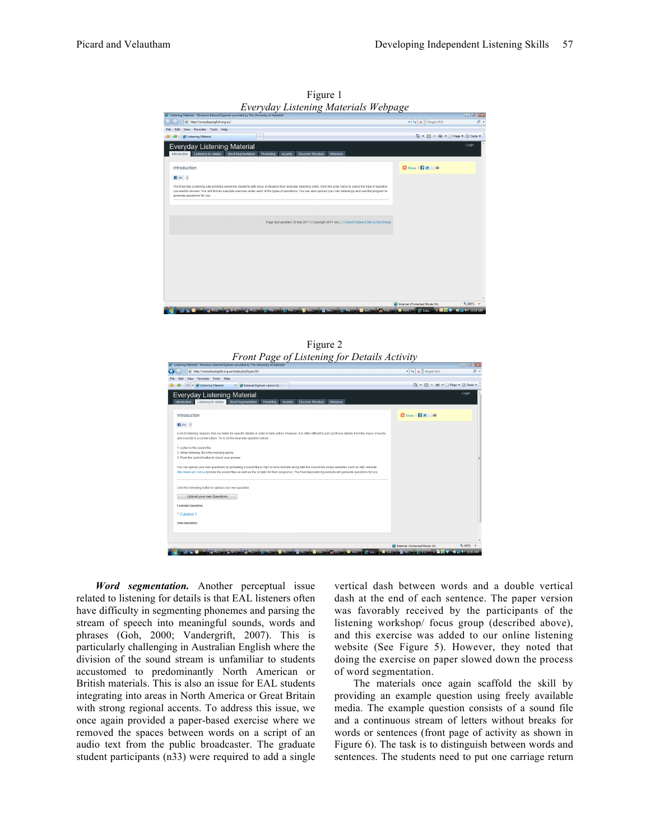

Figure 1 *Everyday Listening Materials Webpage*

Figure 2 *Front Page of Listening for Details Activity*

| <sup>2</sup> Listening Material - Windows Internet Explorer provided by The University of Adelaide                                                                                                                                                                                                             |                                                            | $-10$ $-10$             |
|----------------------------------------------------------------------------------------------------------------------------------------------------------------------------------------------------------------------------------------------------------------------------------------------------------------|------------------------------------------------------------|-------------------------|
| http://everydayenglish.org.au/index.php?type=fill                                                                                                                                                                                                                                                              | $\bullet$ $\left  \leftarrow \right $ $\times$ Google (AU) | $\rho$ .                |
| Favorites Tools Help<br>View                                                                                                                                                                                                                                                                                   |                                                            |                         |
| Listening Material<br>X A Internet Explorer cannot di                                                                                                                                                                                                                                                          | ☆ - 同 - 佛 - Age - ③ Tools -                                |                         |
| <b>Everyday Listening Material</b><br>Listening for details Word Segmentation<br>Introduction<br>Predicting<br>Accents<br><b>Discover Structure</b><br>Inference                                                                                                                                               |                                                            | Login                   |
| Introduction                                                                                                                                                                                                                                                                                                   | B Share   <b>E1 ≥ 3 ÷</b>                                  |                         |
| $14ke$ -2                                                                                                                                                                                                                                                                                                      |                                                            |                         |
| A lot of listening requires that you listen for specific details in order to take action. However, it is often difficult to pick out those details from the mass of words<br>and sounds in a conversation. Try to do the example question below:                                                               |                                                            |                         |
| 1. Listen to the sound file.<br>2. While listening, fill in the missing words.<br>3. Push the submit button to check your answer.                                                                                                                                                                              |                                                            |                         |
| You can upload your own questions by uploading a sound file in mp3 or wmv formats along with the correct text (many websites such as ABC website<br>http://www.abc.net.au provide the sound files as well as the 'scripts' for their programs). The EverydayListening website will generate questions for you. |                                                            |                         |
| Click the following button to upload your own question.<br><b>Upload your own Questions</b>                                                                                                                                                                                                                    |                                                            |                         |
| <b>Example Question:</b>                                                                                                                                                                                                                                                                                       |                                                            |                         |
| * Catalyst 1                                                                                                                                                                                                                                                                                                   |                                                            |                         |
| Own Question:                                                                                                                                                                                                                                                                                                  |                                                            |                         |
|                                                                                                                                                                                                                                                                                                                |                                                            |                         |
|                                                                                                                                                                                                                                                                                                                |                                                            |                         |
|                                                                                                                                                                                                                                                                                                                | Internet   Protected Mode: On                              | 电100% +                 |
| <b>A</b> En<br><b>ET Pices</b><br><b>State of Princess</b><br>$2$ Feb.<br>Di Desse Mac Inbas<br>$= 50$<br><b>Margaret</b><br><b>Selection</b><br>$\sqrt{2}$ Thus                                                                                                                                               | $C = C$<br><b>De Tistano</b>                               | <b>FLUE</b> 40 11:05 AM |

*Word segmentation.* Another perceptual issue related to listening for details is that EAL listeners often have difficulty in segmenting phonemes and parsing the stream of speech into meaningful sounds, words and phrases (Goh, 2000; Vandergrift, 2007). This is particularly challenging in Australian English where the division of the sound stream is unfamiliar to students accustomed to predominantly North American or British materials. This is also an issue for EAL students integrating into areas in North America or Great Britain with strong regional accents. To address this issue, we once again provided a paper-based exercise where we removed the spaces between words on a script of an audio text from the public broadcaster. The graduate student participants (n33) were required to add a single

vertical dash between words and a double vertical dash at the end of each sentence. The paper version was favorably received by the participants of the listening workshop/ focus group (described above), and this exercise was added to our online listening website (See Figure 5). However, they noted that doing the exercise on paper slowed down the process of word segmentation.

The materials once again scaffold the skill by providing an example question using freely available media. The example question consists of a sound file and a continuous stream of letters without breaks for words or sentences (front page of activity as shown in Figure 6). The task is to distinguish between words and sentences. The students need to put one carriage return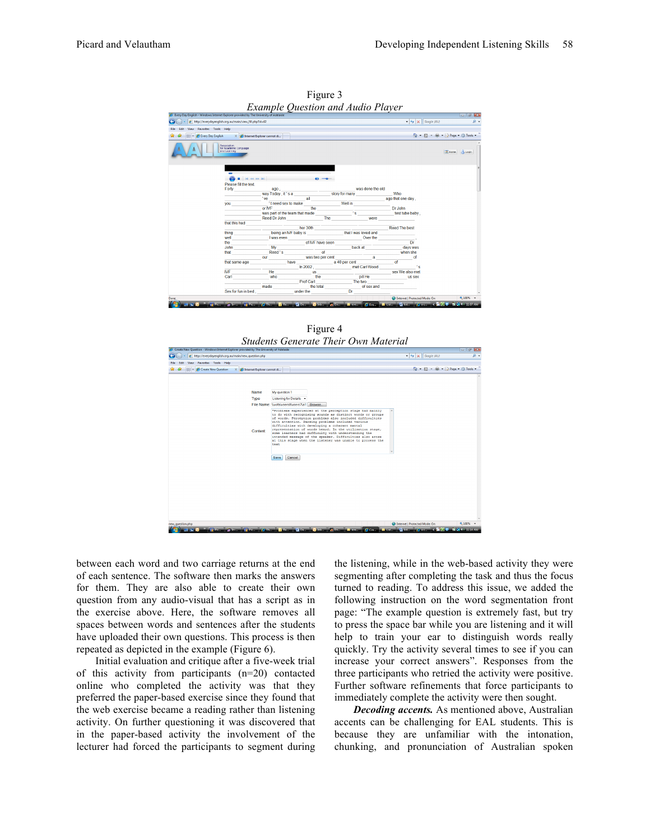

Figure 3 *Example Question and Audio Player*

Figure 4 *Students Generate Their Own Material*



between each word and two carriage returns at the end of each sentence. The software then marks the answers for them. They are also able to create their own question from any audio-visual that has a script as in the exercise above. Here, the software removes all spaces between words and sentences after the students have uploaded their own questions. This process is then repeated as depicted in the example (Figure 6).

Initial evaluation and critique after a five-week trial of this activity from participants (n=20) contacted online who completed the activity was that they preferred the paper-based exercise since they found that the web exercise became a reading rather than listening activity. On further questioning it was discovered that in the paper-based activity the involvement of the lecturer had forced the participants to segment during the listening, while in the web-based activity they were segmenting after completing the task and thus the focus turned to reading. To address this issue, we added the following instruction on the word segmentation front page: "The example question is extremely fast, but try to press the space bar while you are listening and it will help to train your ear to distinguish words really quickly. Try the activity several times to see if you can increase your correct answers". Responses from the three participants who retried the activity were positive. Further software refinements that force participants to immediately complete the activity were then sought.

*Decoding accents.* As mentioned above, Australian accents can be challenging for EAL students. This is because they are unfamiliar with the intonation, chunking, and pronunciation of Australian spoken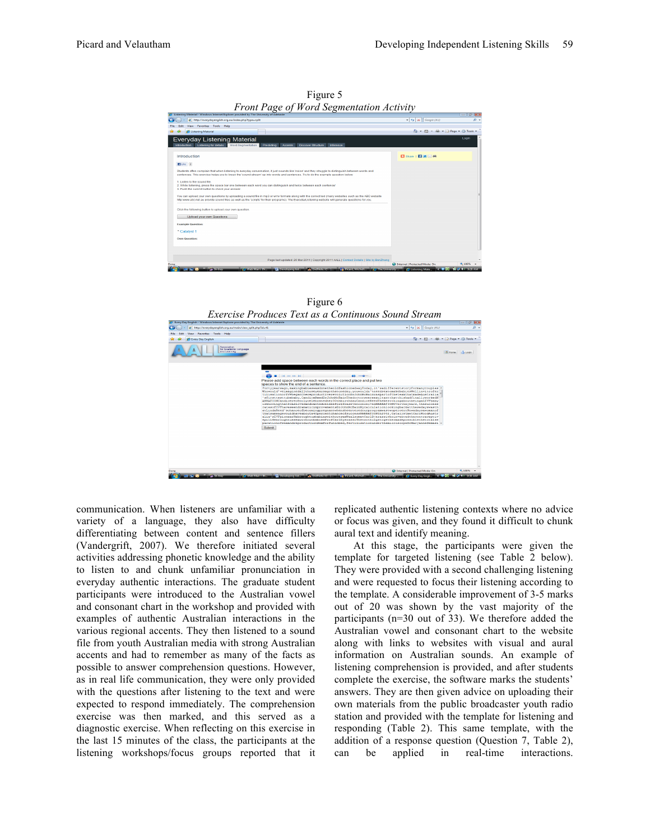

Figure 5 *Front Page of Word Segmentation Activity*



| For Every Day English - Windows Internet Explorer provided by The University of Adelaide<br><b>CHI</b>                                                                                                                                                                                                                                                                                                                                                                                                                                                                                                                                                                                                                                                                                                                                                                                                                                                                                                                                                                                                                                                                                            |                                                                                              |                                                                   |  |
|---------------------------------------------------------------------------------------------------------------------------------------------------------------------------------------------------------------------------------------------------------------------------------------------------------------------------------------------------------------------------------------------------------------------------------------------------------------------------------------------------------------------------------------------------------------------------------------------------------------------------------------------------------------------------------------------------------------------------------------------------------------------------------------------------------------------------------------------------------------------------------------------------------------------------------------------------------------------------------------------------------------------------------------------------------------------------------------------------------------------------------------------------------------------------------------------------|----------------------------------------------------------------------------------------------|-------------------------------------------------------------------|--|
| http://everydayenglish.org.au/main/view.split.php?id=41                                                                                                                                                                                                                                                                                                                                                                                                                                                                                                                                                                                                                                                                                                                                                                                                                                                                                                                                                                                                                                                                                                                                           | $-4$ $\times$ Google (AU)                                                                    | . م                                                               |  |
| View Favorites Tools Help<br>File<br>Edit                                                                                                                                                                                                                                                                                                                                                                                                                                                                                                                                                                                                                                                                                                                                                                                                                                                                                                                                                                                                                                                                                                                                                         |                                                                                              |                                                                   |  |
| <b>C</b> Every Day English                                                                                                                                                                                                                                                                                                                                                                                                                                                                                                                                                                                                                                                                                                                                                                                                                                                                                                                                                                                                                                                                                                                                                                        |                                                                                              | $\sqrt{2}$ = $\sqrt{3}$ = $\frac{1}{2}$ Page = $\sqrt{3}$ Tools = |  |
| Association<br>for Academic Lancuage<br>and Learning                                                                                                                                                                                                                                                                                                                                                                                                                                                                                                                                                                                                                                                                                                                                                                                                                                                                                                                                                                                                                                                                                                                                              |                                                                                              | Micme de Logh                                                     |  |
| Please add space between each words in the correct place and put two<br>spaces to show the end of a sentence.<br>Fortvvearsago.makingbabieswasdonetheoldfashionedwavTodav.it'sadifferentstorvformanvcouples<br>Whowould'veimaginedallthosevearsagothatoneday.vouwouldn'tneedsextcmakebabiesWellinvitrofer<br>tilisationorIVFbeganthereproductiverevolutionDrJohnMcBainwaspartoftheteamthatmadeAustralia<br>'sfirsttesttubebaby.CandiceReedDrJohnMcBainThedoctorswereexultantthatthishadfinallyworkedN<br>ARRATIONCandicerecentlycelebratedher30thbirthdayCandiceReedThebestthingaboutbeinganIVFbaby<br>isknowingthatIwaslovedandwantedwellbeforeIwasevenconceivedNARRATIONOverthevears.thesuccess<br>ratesofIVFhaveseendramaticimprovementsDrJohnMcBainMvcalculationlookingbackatthesedavswasth<br>atLindaReed'schanceofbecomingpregnantwhensheenteredourprogramwastwopercentNowadavsawomanof<br>thatsameagewouldhaveabouta4OpercentchanceofsuccessNARRATIONIn2002.CatalvstmetCarlWoodAustr<br>alia'sIVFpioneerHebroughtusbabieswithoutsexWealsometCarlDjerassiwhoinventedthecontraceptiv<br>epillHebroughtussexwithoutbabiesProfCarlDjerassiThetwothingstogethermadepossiblethetotalse<br>Submit | parationofsexandreproductionSexforfuninbed.fertilisationunderthemicroscopeDrMarvanneDemasi = |                                                                   |  |
| Done                                                                                                                                                                                                                                                                                                                                                                                                                                                                                                                                                                                                                                                                                                                                                                                                                                                                                                                                                                                                                                                                                                                                                                                              | <b>Co</b> Internet   Protected Mode: On                                                      | ● 100% →                                                          |  |
| <b>CAVADIAN INTER</b><br><b>Charles</b><br><b>Mary Englishers</b> Community<br><b>Calculation</b>                                                                                                                                                                                                                                                                                                                                                                                                                                                                                                                                                                                                                                                                                                                                                                                                                                                                                                                                                                                                                                                                                                 | <b>LET President Material</b><br>C Every Day Englis<br><b>C</b> The University               | <b>WIND AN ARRAIGN</b>                                            |  |

communication. When listeners are unfamiliar with a variety of a language, they also have difficulty differentiating between content and sentence fillers (Vandergrift, 2007). We therefore initiated several activities addressing phonetic knowledge and the ability to listen to and chunk unfamiliar pronunciation in everyday authentic interactions. The graduate student participants were introduced to the Australian vowel and consonant chart in the workshop and provided with examples of authentic Australian interactions in the various regional accents. They then listened to a sound file from youth Australian media with strong Australian accents and had to remember as many of the facts as possible to answer comprehension questions. However, as in real life communication, they were only provided with the questions after listening to the text and were expected to respond immediately. The comprehension exercise was then marked, and this served as a diagnostic exercise. When reflecting on this exercise in the last 15 minutes of the class, the participants at the listening workshops/focus groups reported that it replicated authentic listening contexts where no advice or focus was given, and they found it difficult to chunk aural text and identify meaning.

At this stage, the participants were given the template for targeted listening (see Table 2 below). They were provided with a second challenging listening and were requested to focus their listening according to the template. A considerable improvement of 3-5 marks out of 20 was shown by the vast majority of the participants (n=30 out of 33). We therefore added the Australian vowel and consonant chart to the website along with links to websites with visual and aural information on Australian sounds. An example of listening comprehension is provided, and after students complete the exercise, the software marks the students' answers. They are then given advice on uploading their own materials from the public broadcaster youth radio station and provided with the template for listening and responding (Table 2). This same template, with the addition of a response question (Question 7, Table 2), can be applied in real-time interactions.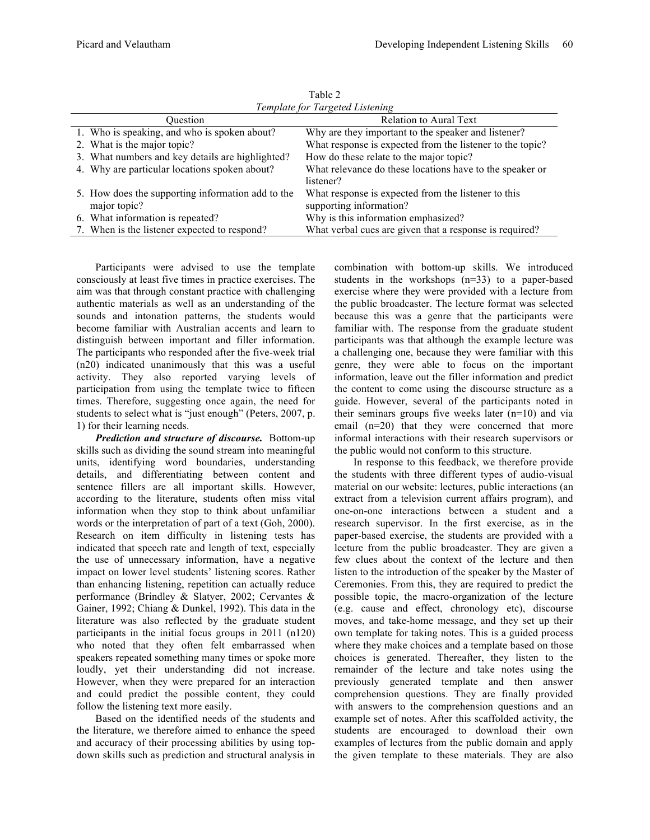| Template for Targeted Listening                   |                                                           |  |  |
|---------------------------------------------------|-----------------------------------------------------------|--|--|
| Ouestion                                          | <b>Relation to Aural Text</b>                             |  |  |
| 1. Who is speaking, and who is spoken about?      | Why are they important to the speaker and listener?       |  |  |
| 2. What is the major topic?                       | What response is expected from the listener to the topic? |  |  |
| 3. What numbers and key details are highlighted?  | How do these relate to the major topic?                   |  |  |
| 4. Why are particular locations spoken about?     | What relevance do these locations have to the speaker or  |  |  |
|                                                   | listener?                                                 |  |  |
| 5. How does the supporting information add to the | What response is expected from the listener to this       |  |  |
| major topic?                                      | supporting information?                                   |  |  |
| 6. What information is repeated?                  | Why is this information emphasized?                       |  |  |
| 7. When is the listener expected to respond?      | What verbal cues are given that a response is required?   |  |  |

Table 2

Participants were advised to use the template consciously at least five times in practice exercises. The aim was that through constant practice with challenging authentic materials as well as an understanding of the sounds and intonation patterns, the students would become familiar with Australian accents and learn to distinguish between important and filler information. The participants who responded after the five-week trial (n20) indicated unanimously that this was a useful activity. They also reported varying levels of participation from using the template twice to fifteen times. Therefore, suggesting once again, the need for students to select what is "just enough" (Peters, 2007, p. 1) for their learning needs.

*Prediction and structure of discourse.* Bottom-up skills such as dividing the sound stream into meaningful units, identifying word boundaries, understanding details, and differentiating between content and sentence fillers are all important skills. However, according to the literature, students often miss vital information when they stop to think about unfamiliar words or the interpretation of part of a text (Goh, 2000). Research on item difficulty in listening tests has indicated that speech rate and length of text, especially the use of unnecessary information, have a negative impact on lower level students' listening scores. Rather than enhancing listening, repetition can actually reduce performance (Brindley & Slatyer, 2002; Cervantes & Gainer, 1992; Chiang & Dunkel, 1992). This data in the literature was also reflected by the graduate student participants in the initial focus groups in 2011 (n120) who noted that they often felt embarrassed when speakers repeated something many times or spoke more loudly, yet their understanding did not increase. However, when they were prepared for an interaction and could predict the possible content, they could follow the listening text more easily.

Based on the identified needs of the students and the literature, we therefore aimed to enhance the speed and accuracy of their processing abilities by using topdown skills such as prediction and structural analysis in

combination with bottom-up skills. We introduced students in the workshops (n=33) to a paper-based exercise where they were provided with a lecture from the public broadcaster. The lecture format was selected because this was a genre that the participants were familiar with. The response from the graduate student participants was that although the example lecture was a challenging one, because they were familiar with this genre, they were able to focus on the important information, leave out the filler information and predict the content to come using the discourse structure as a guide. However, several of the participants noted in their seminars groups five weeks later (n=10) and via email (n=20) that they were concerned that more informal interactions with their research supervisors or the public would not conform to this structure.

In response to this feedback, we therefore provide the students with three different types of audio-visual material on our website: lectures, public interactions (an extract from a television current affairs program), and one-on-one interactions between a student and a research supervisor. In the first exercise, as in the paper-based exercise, the students are provided with a lecture from the public broadcaster. They are given a few clues about the context of the lecture and then listen to the introduction of the speaker by the Master of Ceremonies. From this, they are required to predict the possible topic, the macro-organization of the lecture (e.g. cause and effect, chronology etc), discourse moves, and take-home message, and they set up their own template for taking notes. This is a guided process where they make choices and a template based on those choices is generated. Thereafter, they listen to the remainder of the lecture and take notes using the previously generated template and then answer comprehension questions. They are finally provided with answers to the comprehension questions and an example set of notes. After this scaffolded activity, the students are encouraged to download their own examples of lectures from the public domain and apply the given template to these materials. They are also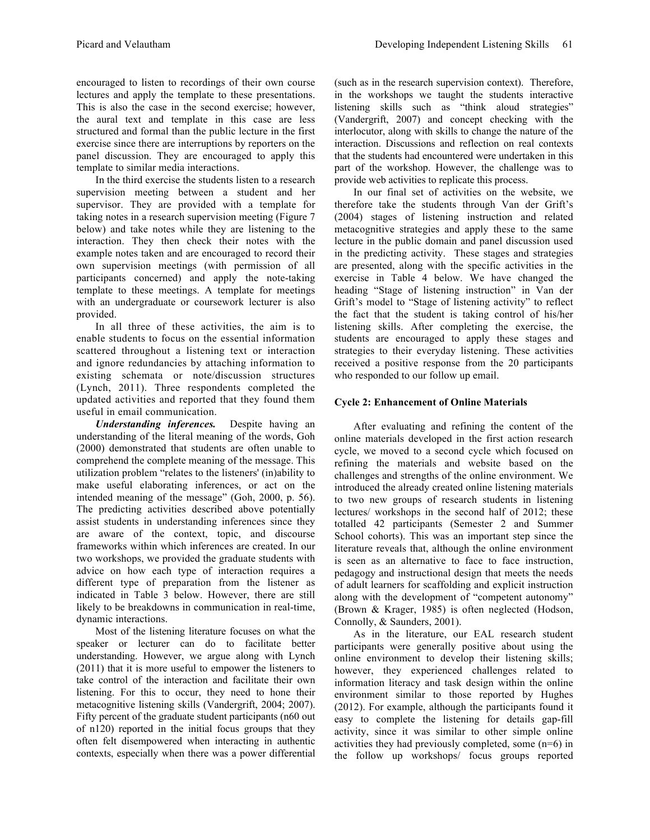encouraged to listen to recordings of their own course lectures and apply the template to these presentations. This is also the case in the second exercise; however, the aural text and template in this case are less structured and formal than the public lecture in the first exercise since there are interruptions by reporters on the panel discussion. They are encouraged to apply this template to similar media interactions.

In the third exercise the students listen to a research supervision meeting between a student and her supervisor. They are provided with a template for taking notes in a research supervision meeting (Figure 7 below) and take notes while they are listening to the interaction. They then check their notes with the example notes taken and are encouraged to record their own supervision meetings (with permission of all participants concerned) and apply the note-taking template to these meetings. A template for meetings with an undergraduate or coursework lecturer is also provided.

In all three of these activities, the aim is to enable students to focus on the essential information scattered throughout a listening text or interaction and ignore redundancies by attaching information to existing schemata or note/discussion structures (Lynch, 2011). Three respondents completed the updated activities and reported that they found them useful in email communication.

*Understanding inferences.* Despite having an understanding of the literal meaning of the words, Goh (2000) demonstrated that students are often unable to comprehend the complete meaning of the message. This utilization problem "relates to the listeners' (in)ability to make useful elaborating inferences, or act on the intended meaning of the message" (Goh, 2000, p. 56). The predicting activities described above potentially assist students in understanding inferences since they are aware of the context, topic, and discourse frameworks within which inferences are created. In our two workshops, we provided the graduate students with advice on how each type of interaction requires a different type of preparation from the listener as indicated in Table 3 below. However, there are still likely to be breakdowns in communication in real-time, dynamic interactions.

Most of the listening literature focuses on what the speaker or lecturer can do to facilitate better understanding. However, we argue along with Lynch (2011) that it is more useful to empower the listeners to take control of the interaction and facilitate their own listening. For this to occur, they need to hone their metacognitive listening skills (Vandergrift, 2004; 2007). Fifty percent of the graduate student participants (n60 out of n120) reported in the initial focus groups that they often felt disempowered when interacting in authentic contexts, especially when there was a power differential

(such as in the research supervision context). Therefore, in the workshops we taught the students interactive listening skills such as "think aloud strategies" (Vandergrift, 2007) and concept checking with the interlocutor, along with skills to change the nature of the interaction. Discussions and reflection on real contexts that the students had encountered were undertaken in this part of the workshop. However, the challenge was to provide web activities to replicate this process.

In our final set of activities on the website, we therefore take the students through Van der Grift's (2004) stages of listening instruction and related metacognitive strategies and apply these to the same lecture in the public domain and panel discussion used in the predicting activity. These stages and strategies are presented, along with the specific activities in the exercise in Table 4 below. We have changed the heading "Stage of listening instruction" in Van der Grift's model to "Stage of listening activity" to reflect the fact that the student is taking control of his/her listening skills. After completing the exercise, the students are encouraged to apply these stages and strategies to their everyday listening. These activities received a positive response from the 20 participants who responded to our follow up email.

# **Cycle 2: Enhancement of Online Materials**

After evaluating and refining the content of the online materials developed in the first action research cycle, we moved to a second cycle which focused on refining the materials and website based on the challenges and strengths of the online environment. We introduced the already created online listening materials to two new groups of research students in listening lectures/ workshops in the second half of 2012; these totalled 42 participants (Semester 2 and Summer School cohorts). This was an important step since the literature reveals that, although the online environment is seen as an alternative to face to face instruction, pedagogy and instructional design that meets the needs of adult learners for scaffolding and explicit instruction along with the development of "competent autonomy" (Brown & Krager, 1985) is often neglected (Hodson, Connolly, & Saunders, 2001).

As in the literature, our EAL research student participants were generally positive about using the online environment to develop their listening skills; however, they experienced challenges related to information literacy and task design within the online environment similar to those reported by Hughes (2012). For example, although the participants found it easy to complete the listening for details gap-fill activity, since it was similar to other simple online activities they had previously completed, some (n=6) in the follow up workshops/ focus groups reported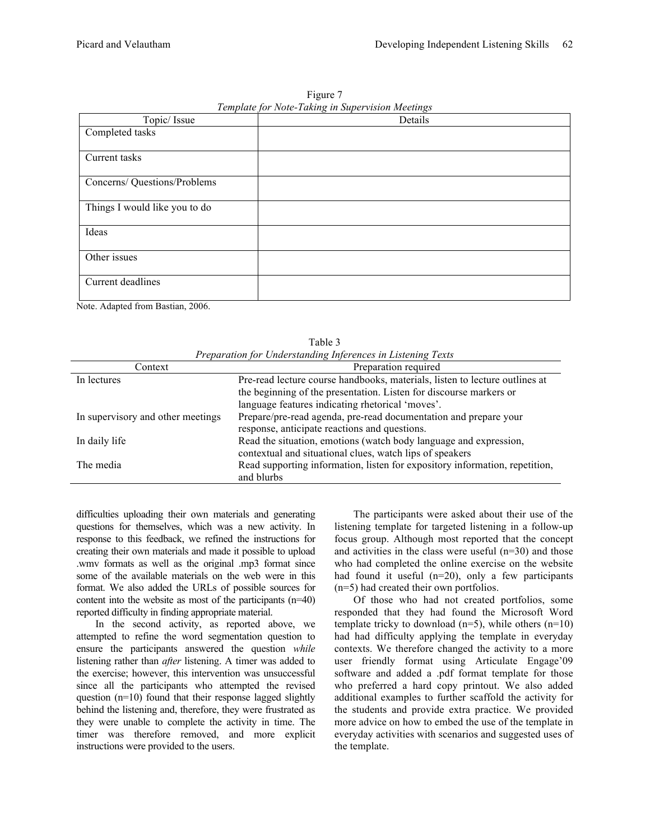| <i>T</i> 7 .<br>Topic/ Issue  | . <u>.</u><br>Details |
|-------------------------------|-----------------------|
| Completed tasks               |                       |
| Current tasks                 |                       |
|                               |                       |
| Concerns/ Questions/Problems  |                       |
| Things I would like you to do |                       |
| Ideas                         |                       |
| Other issues                  |                       |
| Current deadlines             |                       |

Figure 7 *Template for Note-Taking in Supervision Meetings*

Note. Adapted from Bastian, 2006.

| Preparation for Understanding Inferences in Listening Texts |                                                                             |  |  |
|-------------------------------------------------------------|-----------------------------------------------------------------------------|--|--|
| Context                                                     | Preparation required                                                        |  |  |
| In lectures                                                 | Pre-read lecture course handbooks, materials, listen to lecture outlines at |  |  |
|                                                             | the beginning of the presentation. Listen for discourse markers or          |  |  |
|                                                             | language features indicating rhetorical 'moves'.                            |  |  |
| In supervisory and other meetings                           | Prepare/pre-read agenda, pre-read documentation and prepare your            |  |  |
|                                                             | response, anticipate reactions and questions.                               |  |  |
| In daily life                                               | Read the situation, emotions (watch body language and expression,           |  |  |
|                                                             | contextual and situational clues, watch lips of speakers                    |  |  |
| The media                                                   | Read supporting information, listen for expository information, repetition, |  |  |
|                                                             | and blurbs                                                                  |  |  |

Table 3

difficulties uploading their own materials and generating questions for themselves, which was a new activity. In response to this feedback, we refined the instructions for creating their own materials and made it possible to upload .wmv formats as well as the original .mp3 format since some of the available materials on the web were in this format. We also added the URLs of possible sources for content into the website as most of the participants (n=40) reported difficulty in finding appropriate material.

In the second activity, as reported above, we attempted to refine the word segmentation question to ensure the participants answered the question *while* listening rather than *after* listening. A timer was added to the exercise; however, this intervention was unsuccessful since all the participants who attempted the revised question  $(n=10)$  found that their response lagged slightly behind the listening and, therefore, they were frustrated as they were unable to complete the activity in time. The timer was therefore removed, and more explicit instructions were provided to the users.

The participants were asked about their use of the listening template for targeted listening in a follow-up focus group. Although most reported that the concept and activities in the class were useful (n=30) and those who had completed the online exercise on the website had found it useful (n=20), only a few participants (n=5) had created their own portfolios.

Of those who had not created portfolios, some responded that they had found the Microsoft Word template tricky to download  $(n=5)$ , while others  $(n=10)$ had had difficulty applying the template in everyday contexts. We therefore changed the activity to a more user friendly format using Articulate Engage'09 software and added a .pdf format template for those who preferred a hard copy printout. We also added additional examples to further scaffold the activity for the students and provide extra practice. We provided more advice on how to embed the use of the template in everyday activities with scenarios and suggested uses of the template.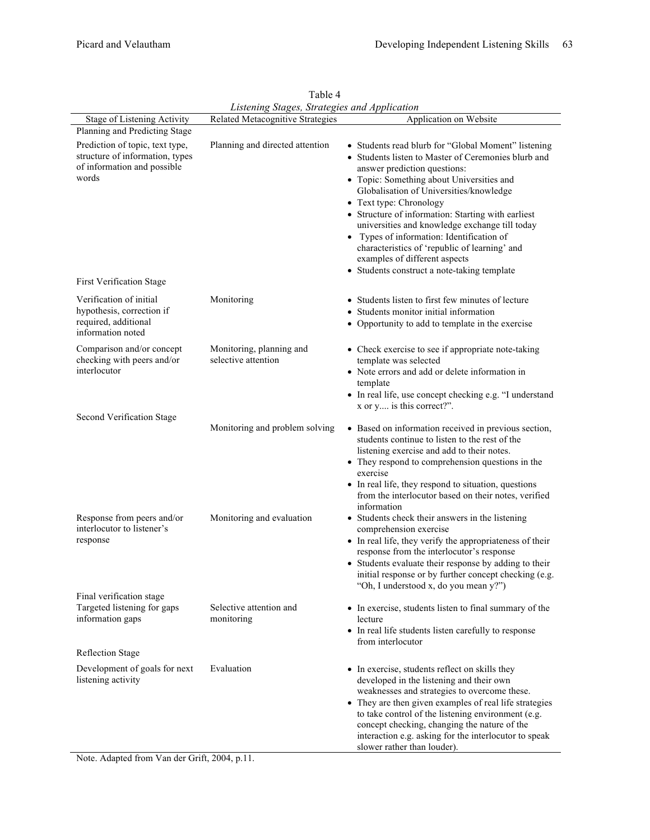|                                                                                                            | Listening Stages, Strategies and Application    |                                                                                                                                                                                                                                                                                                                                                                                                                                                                                                      |
|------------------------------------------------------------------------------------------------------------|-------------------------------------------------|------------------------------------------------------------------------------------------------------------------------------------------------------------------------------------------------------------------------------------------------------------------------------------------------------------------------------------------------------------------------------------------------------------------------------------------------------------------------------------------------------|
| Stage of Listening Activity                                                                                | Related Metacognitive Strategies                | Application on Website                                                                                                                                                                                                                                                                                                                                                                                                                                                                               |
| Planning and Predicting Stage                                                                              |                                                 |                                                                                                                                                                                                                                                                                                                                                                                                                                                                                                      |
| Prediction of topic, text type,<br>structure of information, types<br>of information and possible<br>words | Planning and directed attention                 | • Students read blurb for "Global Moment" listening<br>• Students listen to Master of Ceremonies blurb and<br>answer prediction questions:<br>• Topic: Something about Universities and<br>Globalisation of Universities/knowledge<br>• Text type: Chronology<br>• Structure of information: Starting with earliest<br>universities and knowledge exchange till today<br>• Types of information: Identification of<br>characteristics of 'republic of learning' and<br>examples of different aspects |
|                                                                                                            |                                                 | • Students construct a note-taking template                                                                                                                                                                                                                                                                                                                                                                                                                                                          |
| <b>First Verification Stage</b>                                                                            |                                                 |                                                                                                                                                                                                                                                                                                                                                                                                                                                                                                      |
| Verification of initial<br>hypothesis, correction if<br>required, additional<br>information noted          | Monitoring                                      | • Students listen to first few minutes of lecture<br>• Students monitor initial information<br>• Opportunity to add to template in the exercise                                                                                                                                                                                                                                                                                                                                                      |
| Comparison and/or concept<br>checking with peers and/or<br>interlocutor                                    | Monitoring, planning and<br>selective attention | • Check exercise to see if appropriate note-taking<br>template was selected<br>• Note errors and add or delete information in                                                                                                                                                                                                                                                                                                                                                                        |
|                                                                                                            |                                                 | template<br>• In real life, use concept checking e.g. "I understand<br>x or y is this correct?".                                                                                                                                                                                                                                                                                                                                                                                                     |
| Second Verification Stage                                                                                  | Monitoring and problem solving                  | • Based on information received in previous section,<br>students continue to listen to the rest of the<br>listening exercise and add to their notes.<br>• They respond to comprehension questions in the<br>exercise<br>• In real life, they respond to situation, questions<br>from the interlocutor based on their notes, verified<br>information                                                                                                                                                  |
| Response from peers and/or<br>interlocutor to listener's<br>response                                       | Monitoring and evaluation                       | • Students check their answers in the listening<br>comprehension exercise<br>• In real life, they verify the appropriateness of their<br>response from the interlocutor's response<br>• Students evaluate their response by adding to their<br>initial response or by further concept checking (e.g.<br>"Oh, I understood x, do you mean y?")                                                                                                                                                        |
| Final verification stage<br>Targeted listening for gaps<br>information gaps                                | Selective attention and<br>monitoring           | • In exercise, students listen to final summary of the<br>lecture<br>• In real life students listen carefully to response<br>from interlocutor                                                                                                                                                                                                                                                                                                                                                       |
| <b>Reflection Stage</b>                                                                                    |                                                 |                                                                                                                                                                                                                                                                                                                                                                                                                                                                                                      |
| Development of goals for next<br>listening activity                                                        | Evaluation                                      | • In exercise, students reflect on skills they<br>developed in the listening and their own<br>weaknesses and strategies to overcome these.<br>• They are then given examples of real life strategies<br>to take control of the listening environment (e.g.<br>concept checking, changing the nature of the<br>interaction e.g. asking for the interlocutor to speak<br>slower rather than louder).                                                                                                   |

Table 4 *Listening Stages, Strategies and Application*

Note. Adapted from Van der Grift, 2004, p.11.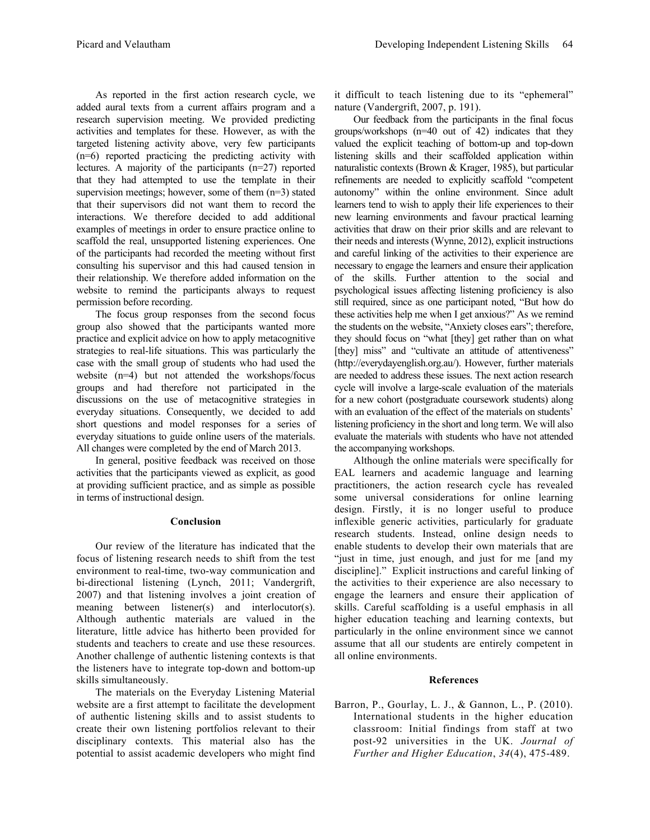As reported in the first action research cycle, we added aural texts from a current affairs program and a research supervision meeting. We provided predicting activities and templates for these. However, as with the targeted listening activity above, very few participants (n=6) reported practicing the predicting activity with lectures. A majority of the participants (n=27) reported that they had attempted to use the template in their supervision meetings; however, some of them (n=3) stated that their supervisors did not want them to record the interactions. We therefore decided to add additional examples of meetings in order to ensure practice online to scaffold the real, unsupported listening experiences. One of the participants had recorded the meeting without first consulting his supervisor and this had caused tension in their relationship. We therefore added information on the website to remind the participants always to request permission before recording.

The focus group responses from the second focus group also showed that the participants wanted more practice and explicit advice on how to apply metacognitive strategies to real-life situations. This was particularly the case with the small group of students who had used the website (n=4) but not attended the workshops/focus groups and had therefore not participated in the discussions on the use of metacognitive strategies in everyday situations. Consequently, we decided to add short questions and model responses for a series of everyday situations to guide online users of the materials. All changes were completed by the end of March 2013.

In general, positive feedback was received on those activities that the participants viewed as explicit, as good at providing sufficient practice, and as simple as possible in terms of instructional design.

#### **Conclusion**

Our review of the literature has indicated that the focus of listening research needs to shift from the test environment to real-time, two-way communication and bi-directional listening (Lynch, 2011; Vandergrift, 2007) and that listening involves a joint creation of meaning between listener(s) and interlocutor(s). Although authentic materials are valued in the literature, little advice has hitherto been provided for students and teachers to create and use these resources. Another challenge of authentic listening contexts is that the listeners have to integrate top-down and bottom-up skills simultaneously.

The materials on the Everyday Listening Material website are a first attempt to facilitate the development of authentic listening skills and to assist students to create their own listening portfolios relevant to their disciplinary contexts. This material also has the potential to assist academic developers who might find

it difficult to teach listening due to its "ephemeral" nature (Vandergrift, 2007, p. 191).

Our feedback from the participants in the final focus groups/workshops (n=40 out of 42) indicates that they valued the explicit teaching of bottom-up and top-down listening skills and their scaffolded application within naturalistic contexts (Brown & Krager, 1985), but particular refinements are needed to explicitly scaffold "competent autonomy" within the online environment. Since adult learners tend to wish to apply their life experiences to their new learning environments and favour practical learning activities that draw on their prior skills and are relevant to their needs and interests (Wynne, 2012), explicit instructions and careful linking of the activities to their experience are necessary to engage the learners and ensure their application of the skills. Further attention to the social and psychological issues affecting listening proficiency is also still required, since as one participant noted, "But how do these activities help me when I get anxious?" As we remind the students on the website, "Anxiety closes ears"; therefore, they should focus on "what [they] get rather than on what [they] miss" and "cultivate an attitude of attentiveness" (http://everydayenglish.org.au/). However, further materials are needed to address these issues. The next action research cycle will involve a large-scale evaluation of the materials for a new cohort (postgraduate coursework students) along with an evaluation of the effect of the materials on students' listening proficiency in the short and long term. We will also evaluate the materials with students who have not attended the accompanying workshops.

Although the online materials were specifically for EAL learners and academic language and learning practitioners, the action research cycle has revealed some universal considerations for online learning design. Firstly, it is no longer useful to produce inflexible generic activities, particularly for graduate research students. Instead, online design needs to enable students to develop their own materials that are "just in time, just enough, and just for me [and my discipline]." Explicit instructions and careful linking of the activities to their experience are also necessary to engage the learners and ensure their application of skills. Careful scaffolding is a useful emphasis in all higher education teaching and learning contexts, but particularly in the online environment since we cannot assume that all our students are entirely competent in all online environments.

## **References**

Barron, P., Gourlay, L. J., & Gannon, L., P. (2010). International students in the higher education classroom: Initial findings from staff at two post-92 universities in the UK. *Journal of Further and Higher Education*, *34*(4), 475-489.